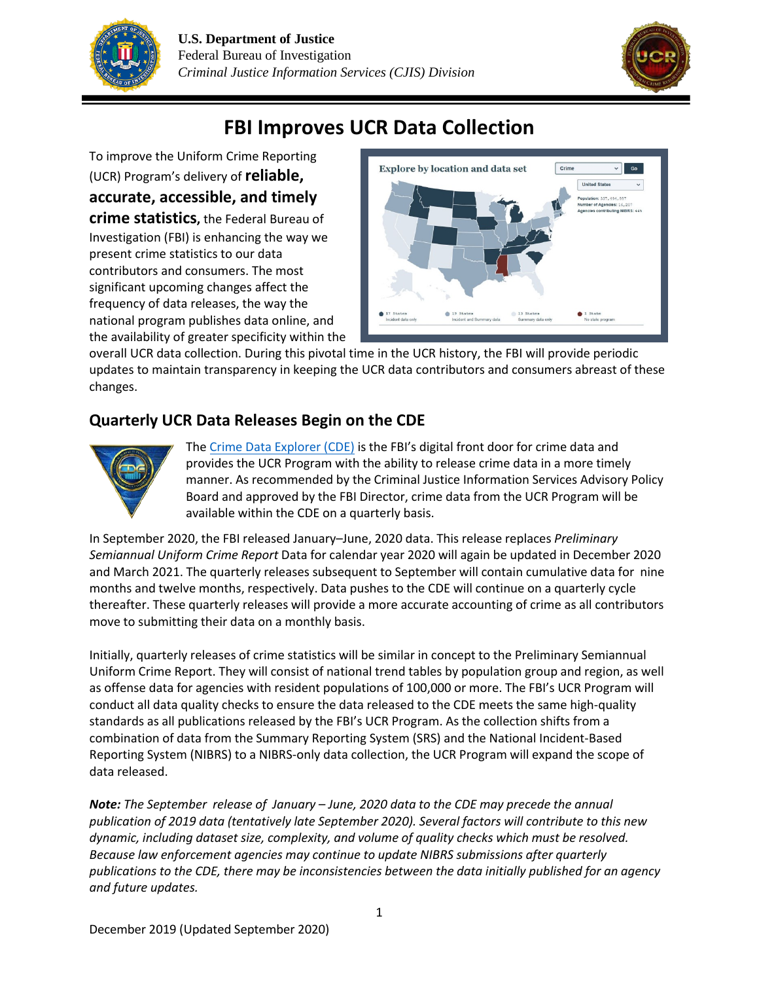



# **FBI Improves UCR Data Collection**

To improve the Uniform Crime Reporting (UCR) Program's delivery of **reliable, accurate, accessible, and timely crime statistics,** the Federal Bureau of Investigation (FBI) is enhancing the way we present crime statistics to our data contributors and consumers. The most significant upcoming changes affect the frequency of data releases, the way the national program publishes data online, and the availability of greater specificity within the



overall UCR data collection. During this pivotal time in the UCR history, the FBI will provide periodic updates to maintain transparency in keeping the UCR data contributors and consumers abreast of these changes.

# **Quarterly UCR Data Releases Begin on the CDE**



The Crime Data [Explorer \(CDE\)](http://www.fbi.gov/cde) is the FBI's digital front door for crime data and provides the UCR Program with the ability to release crime data in a more timely manner. As recommended by the Criminal Justice Information Services Advisory Policy Board and approved by the FBI Director, crime data from the UCR Program will be available within the CDE on a quarterly basis.

In September 2020, the FBI released January–June, 2020 data. This release replaces *Preliminary Semiannual Uniform Crime Report* Data for calendar year 2020 will again be updated in December 2020 and March 2021. The quarterly releases subsequent to September will contain cumulative data for nine months and twelve months, respectively. Data pushes to the CDE will continue on a quarterly cycle thereafter. These quarterly releases will provide a more accurate accounting of crime as all contributors move to submitting their data on a monthly basis.

Initially, quarterly releases of crime statistics will be similar in concept to the Preliminary Semiannual Uniform Crime Report. They will consist of national trend tables by population group and region, as well as offense data for agencies with resident populations of 100,000 or more. The FBI's UCR Program will conduct all data quality checks to ensure the data released to the CDE meets the same high-quality standards as all publications released by the FBI's UCR Program. As the collection shifts from a combination of data from the Summary Reporting System (SRS) and the National Incident-Based Reporting System (NIBRS) to a NIBRS-only data collection, the UCR Program will expand the scope of data released.

*Note: The September release of January – June, 2020 data to the CDE may precede the annual publication of 2019 data (tentatively late September 2020). Several factors will contribute to this new dynamic, including dataset size, complexity, and volume of quality checks which must be resolved. Because law enforcement agencies may continue to update NIBRS submissions after quarterly publications to the CDE, there may be inconsistencies between the data initially published for an agency and future updates.*